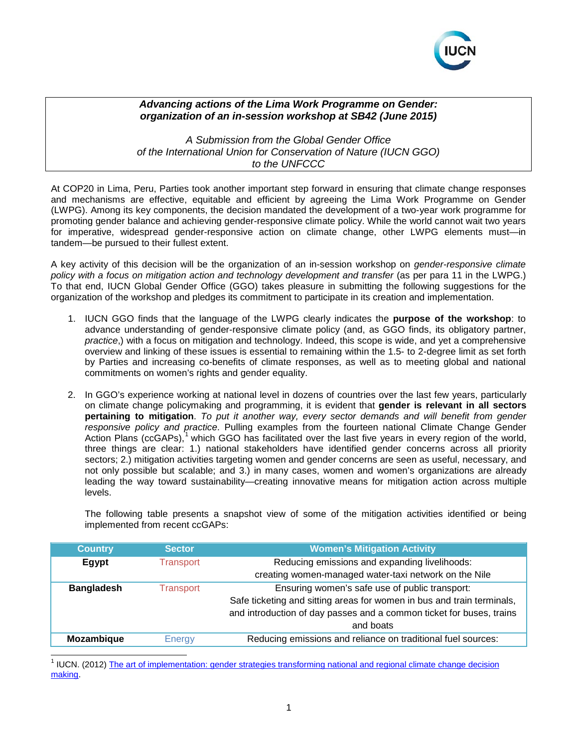

## *Advancing actions of the Lima Work Programme on Gender: organization of an in-session workshop at SB42 (June 2015)*

*A Submission from the Global Gender Office of the International Union for Conservation of Nature (IUCN GGO) to the UNFCCC*

At COP20 in Lima, Peru, Parties took another important step forward in ensuring that climate change responses and mechanisms are effective, equitable and efficient by agreeing the Lima Work Programme on Gender (LWPG). Among its key components, the decision mandated the development of a two-year work programme for promoting gender balance and achieving gender-responsive climate policy. While the world cannot wait two years for imperative, widespread gender-responsive action on climate change, other LWPG elements must—in tandem—be pursued to their fullest extent.

A key activity of this decision will be the organization of an in-session workshop on *gender-responsive climate policy with a focus on mitigation action and technology development and transfer* (as per para 11 in the LWPG.) To that end, IUCN Global Gender Office (GGO) takes pleasure in submitting the following suggestions for the organization of the workshop and pledges its commitment to participate in its creation and implementation.

- 1. IUCN GGO finds that the language of the LWPG clearly indicates the **purpose of the workshop**: to advance understanding of gender-responsive climate policy (and, as GGO finds, its obligatory partner, *practice*,) with a focus on mitigation and technology. Indeed, this scope is wide, and yet a comprehensive overview and linking of these issues is essential to remaining within the 1.5- to 2-degree limit as set forth by Parties and increasing co-benefits of climate responses, as well as to meeting global and national commitments on women's rights and gender equality.
- 2. In GGO's experience working at national level in dozens of countries over the last few years, particularly on climate change policymaking and programming, it is evident that **gender is relevant in all sectors pertaining to mitigation**. *To put it another way, every sector demands and will benefit from gender responsive policy and practice*. Pulling examples from the fourteen national Climate Change Gender Action Plans (ccGAPs),<sup>[1](#page-0-0)</sup> which GGO has facilitated over the last five years in every region of the world, three things are clear: 1.) national stakeholders have identified gender concerns across all priority sectors; 2.) mitigation activities targeting women and gender concerns are seen as useful, necessary, and not only possible but scalable; and 3.) in many cases, women and women's organizations are already leading the way toward sustainability—creating innovative means for mitigation action across multiple levels.

The following table presents a snapshot view of some of the mitigation activities identified or being implemented from recent ccGAPs:

| <b>Country</b>    | <b>Sector</b>    | <b>Women's Mitigation Activity</b>                                     |
|-------------------|------------------|------------------------------------------------------------------------|
| Egypt             | <b>Transport</b> | Reducing emissions and expanding livelihoods:                          |
|                   |                  | creating women-managed water-taxi network on the Nile                  |
| <b>Bangladesh</b> | <b>Transport</b> | Ensuring women's safe use of public transport:                         |
|                   |                  | Safe ticketing and sitting areas for women in bus and train terminals, |
|                   |                  | and introduction of day passes and a common ticket for buses, trains   |
|                   |                  | and boats                                                              |
| Mozambique        | Energy           | Reducing emissions and reliance on traditional fuel sources:           |
|                   |                  |                                                                        |

<span id="page-0-0"></span><sup>1</sup> IUCN. (2012[\) The art of implementation: gender strategies transforming national and regional climate change decision](http://genderandenvironment.org/resource/the-art-of-implementation-gender-strategies-transforming-national-and-regional-climate-change-decision-making/)  [making.](http://genderandenvironment.org/resource/the-art-of-implementation-gender-strategies-transforming-national-and-regional-climate-change-decision-making/)  $\overline{a}$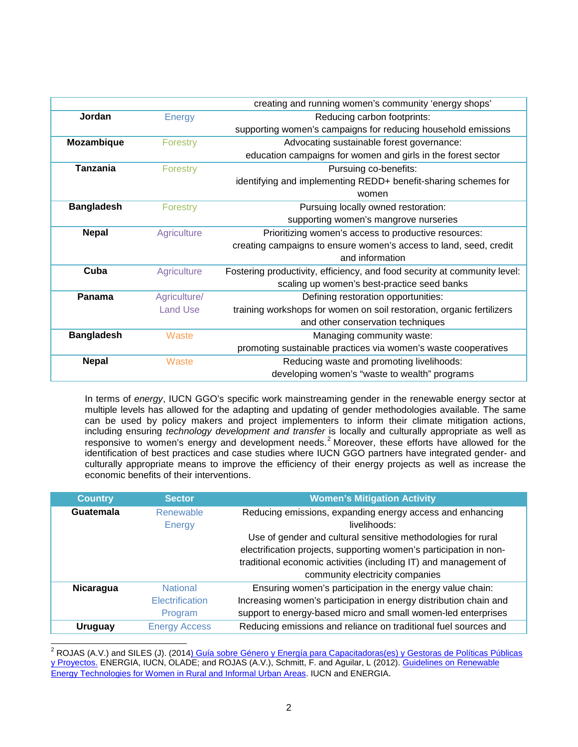|                   |                 | creating and running women's community 'energy shops'                     |
|-------------------|-----------------|---------------------------------------------------------------------------|
| Jordan            | <b>Energy</b>   | Reducing carbon footprints:                                               |
|                   |                 | supporting women's campaigns for reducing household emissions             |
| Mozambique        | Forestry        | Advocating sustainable forest governance:                                 |
|                   |                 | education campaigns for women and girls in the forest sector              |
| <b>Tanzania</b>   | Forestry        | Pursuing co-benefits:                                                     |
|                   |                 | identifying and implementing REDD+ benefit-sharing schemes for            |
|                   |                 | women                                                                     |
| <b>Bangladesh</b> | Forestry        | Pursuing locally owned restoration:                                       |
|                   |                 | supporting women's mangrove nurseries                                     |
| <b>Nepal</b>      | Agriculture     | Prioritizing women's access to productive resources:                      |
|                   |                 | creating campaigns to ensure women's access to land, seed, credit         |
|                   |                 | and information                                                           |
| Cuba              | Agriculture     | Fostering productivity, efficiency, and food security at community level: |
|                   |                 | scaling up women's best-practice seed banks                               |
| Panama            | Agriculture/    | Defining restoration opportunities:                                       |
|                   | <b>Land Use</b> | training workshops for women on soil restoration, organic fertilizers     |
|                   |                 | and other conservation techniques                                         |
| <b>Bangladesh</b> | Waste           | Managing community waste:                                                 |
|                   |                 | promoting sustainable practices via women's waste cooperatives            |
| <b>Nepal</b>      | Waste           | Reducing waste and promoting livelihoods:                                 |
|                   |                 | developing women's "waste to wealth" programs                             |

In terms of *energy*, IUCN GGO's specific work mainstreaming gender in the renewable energy sector at multiple levels has allowed for the adapting and updating of gender methodologies available. The same can be used by policy makers and project implementers to inform their climate mitigation actions, including ensuring *technology development and transfer* is locally and culturally appropriate as well as responsive to women's energy and development needs.<sup>[2](#page-1-0)</sup> Moreover, these efforts have allowed for the identification of best practices and case studies where IUCN GGO partners have integrated gender- and culturally appropriate means to improve the efficiency of their energy projects as well as increase the economic benefits of their interventions.

| <b>Country</b>   | <b>Sector</b>        | <b>Women's Mitigation Activity</b>                                        |
|------------------|----------------------|---------------------------------------------------------------------------|
| <b>Guatemala</b> | Renewable<br>Energy  | Reducing emissions, expanding energy access and enhancing<br>livelihoods: |
|                  |                      | Use of gender and cultural sensitive methodologies for rural              |
|                  |                      | electrification projects, supporting women's participation in non-        |
|                  |                      | traditional economic activities (including IT) and management of          |
|                  |                      | community electricity companies                                           |
| <b>Nicaragua</b> | <b>National</b>      | Ensuring women's participation in the energy value chain:                 |
|                  | Electrification      | Increasing women's participation in energy distribution chain and         |
|                  | Program              | support to energy-based micro and small women-led enterprises             |
| <b>Uruguay</b>   | <b>Energy Access</b> | Reducing emissions and reliance on traditional fuel sources and           |

<span id="page-1-0"></span><sup>2</sup> ROJAS (A.V.) and SILES (J). (2014<u>) Guía sobre Género y Energía para Capacitadoras(es) y Gestoras de Políticas Públicas</u> [y Proyectos.](http://genderandenvironment.org/resource/guia-sobre-genero-y-energia-para-capacitadorases-y-gestorases-de-politica-publica-y-proyectos/) ENERGIA, IUCN, OLADE; and ROJAS (A.V.), Schmitt, F. and Aguilar, L (2012)[. Guidelines on Renewable](http://genderandenvironment.org/resource/guidelines-on-renewable-energy-technologies-for-women-in-rural-and-informal-urban-areas/)  [Energy Technologies for Women in Rural and Informal Urban Areas.](http://genderandenvironment.org/resource/guidelines-on-renewable-energy-technologies-for-women-in-rural-and-informal-urban-areas/) IUCN and ENERGIA. j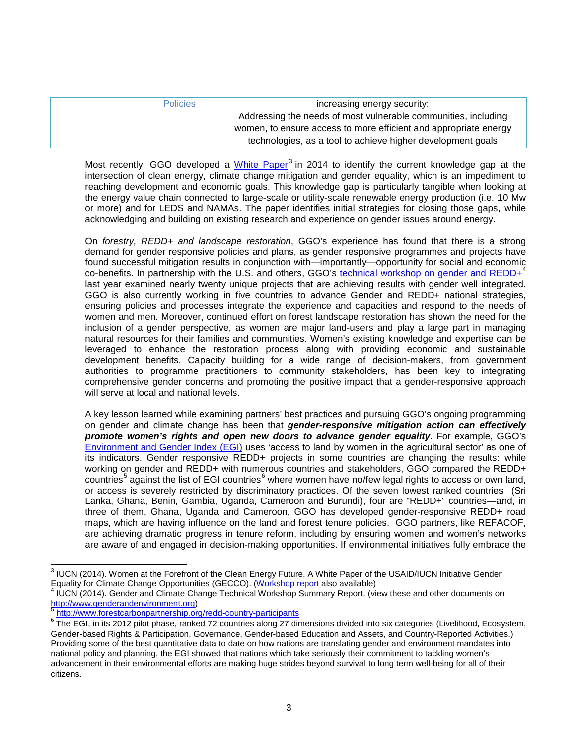| <b>Policies</b> | increasing energy security:                                      |
|-----------------|------------------------------------------------------------------|
|                 | Addressing the needs of most vulnerable communities, including   |
|                 | women, to ensure access to more efficient and appropriate energy |
|                 | technologies, as a tool to achieve higher development goals      |

Most recently, GGO developed a [White Paper](https://portals.iucn.org/union/sites/union/files/doc/women_at_the_forefront_of_the_clean_energy_future_1.20.15.pdf)<sup>[3](#page-2-0)</sup> in 2014 to identify the current knowledge gap at the intersection of clean energy, climate change mitigation and gender equality, which is an impediment to reaching development and economic goals. This knowledge gap is particularly tangible when looking at the energy value chain connected to large-scale or utility-scale renewable energy production (i.e. 10 Mw or more) and for LEDS and NAMAs. The paper identifies initial strategies for closing those gaps, while acknowledging and building on existing research and experience on gender issues around energy.

On *forestry, REDD+ and landscape restoration*, GGO's experience has found that there is a strong demand for gender responsive policies and plans, as gender responsive programmes and projects have found successful mitigation results in conjunction with—importantly—opportunity for social and economic co-benefits. In partnership with the U.S. and others, GGO's [technical workshop on gender and REDD+](https://portals.iucn.org/union/sites/union/files/doc/gender_and_redd_technical_workshop_summary_report.pdf)<sup>[4](#page-2-1)</sup> last year examined nearly twenty unique projects that are achieving results with gender well integrated. GGO is also currently working in five countries to advance Gender and REDD+ national strategies, ensuring policies and processes integrate the experience and capacities and respond to the needs of women and men. Moreover, continued effort on forest landscape restoration has shown the need for the inclusion of a gender perspective, as women are major land-users and play a large part in managing natural resources for their families and communities. Women's existing knowledge and expertise can be leveraged to enhance the restoration process along with providing economic and sustainable development benefits. Capacity building for a wide range of decision-makers, from government authorities to programme practitioners to community stakeholders, has been key to integrating comprehensive gender concerns and promoting the positive impact that a gender-responsive approach will serve at local and national levels.

A key lesson learned while examining partners' best practices and pursuing GGO's ongoing programming on gender and climate change has been that *gender-responsive mitigation action can effectively promote women's rights and open new doors to advance gender equality*. For example, GGO's [Environment and Gender Index \(EGI\)](http://www.environmentgenderindex.org/) uses 'access to land by women in the agricultural sector' as one of its indicators. Gender responsive REDD+ projects in some countries are changing the results: while working on gender and REDD+ with numerous countries and stakeholders, GGO compared the REDD+ countries<sup>[5](#page-2-2)</sup> against the list of EGI countries<sup>[6](#page-2-3)</sup> where women have no/few legal rights to access or own land, or access is severely restricted by discriminatory practices. Of the seven lowest ranked countries (Sri Lanka, Ghana, Benin, Gambia, Uganda, Cameroon and Burundi), four are "REDD+" countries—and, in three of them, Ghana, Uganda and Cameroon, GGO has developed gender-responsive REDD+ road maps, which are having influence on the land and forest tenure policies. GGO partners, like REFACOF, are achieving dramatic progress in tenure reform, including by ensuring women and women's networks are aware of and engaged in decision-making opportunities. If environmental initiatives fully embrace the

 $3$  IUCN (2014). Women at the Forefront of the Clean Energy Future. A White Paper of the USAID/IUCN Initiative Gender j

<span id="page-2-1"></span><span id="page-2-0"></span>Equality for Climate Change Opportunities (GECCO). [\(Workshop report](https://portals.iucn.org/union/sites/union/files/doc/gender_and_renewable_energy_workshop_report.pdf) also available)<br><sup>4</sup> IUCN (2014). Gender and Climate Change Technical Workshop Summary Report. (view these and other documents on<br>http://www.genderandenvir

<span id="page-2-3"></span><span id="page-2-2"></span><http://www.forestcarbonpartnership.org/redd-country-participants><br>The EGI, in its 2012 pilot phase, ranked 72 countries along 27 dimensions divided into six categories (Livelihood, Ecosystem, Gender-based Rights & Participation, Governance, Gender-based Education and Assets, and Country-Reported Activities.) Providing some of the best quantitative data to date on how nations are translating gender and environment mandates into national policy and planning, the EGI showed that nations which take seriously their commitment to tackling women's advancement in their environmental efforts are making huge strides beyond survival to long term well-being for all of their citizens.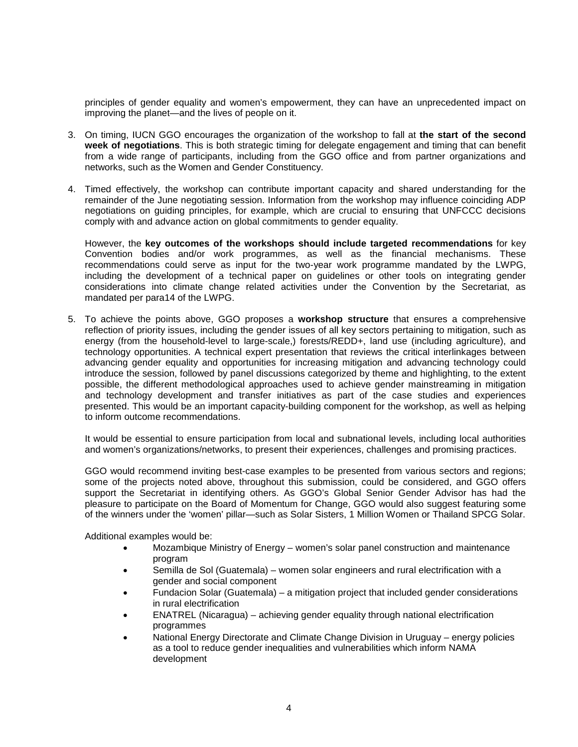principles of gender equality and women's empowerment, they can have an unprecedented impact on improving the planet—and the lives of people on it.

- 3. On timing, IUCN GGO encourages the organization of the workshop to fall at **the start of the second week of negotiations**. This is both strategic timing for delegate engagement and timing that can benefit from a wide range of participants, including from the GGO office and from partner organizations and networks, such as the Women and Gender Constituency.
- 4. Timed effectively, the workshop can contribute important capacity and shared understanding for the remainder of the June negotiating session. Information from the workshop may influence coinciding ADP negotiations on guiding principles, for example, which are crucial to ensuring that UNFCCC decisions comply with and advance action on global commitments to gender equality.

However, the **key outcomes of the workshops should include targeted recommendations** for key Convention bodies and/or work programmes, as well as the financial mechanisms. These recommendations could serve as input for the two-year work programme mandated by the LWPG, including the development of a technical paper on guidelines or other tools on integrating gender considerations into climate change related activities under the Convention by the Secretariat, as mandated per para14 of the LWPG.

5. To achieve the points above, GGO proposes a **workshop structure** that ensures a comprehensive reflection of priority issues, including the gender issues of all key sectors pertaining to mitigation, such as energy (from the household-level to large-scale,) forests/REDD+, land use (including agriculture), and technology opportunities. A technical expert presentation that reviews the critical interlinkages between advancing gender equality and opportunities for increasing mitigation and advancing technology could introduce the session, followed by panel discussions categorized by theme and highlighting, to the extent possible, the different methodological approaches used to achieve gender mainstreaming in mitigation and technology development and transfer initiatives as part of the case studies and experiences presented. This would be an important capacity-building component for the workshop, as well as helping to inform outcome recommendations.

It would be essential to ensure participation from local and subnational levels, including local authorities and women's organizations/networks, to present their experiences, challenges and promising practices.

GGO would recommend inviting best-case examples to be presented from various sectors and regions; some of the projects noted above, throughout this submission, could be considered, and GGO offers support the Secretariat in identifying others. As GGO's Global Senior Gender Advisor has had the pleasure to participate on the Board of Momentum for Change, GGO would also suggest featuring some of the winners under the 'women' pillar—such as Solar Sisters, 1 Million Women or Thailand SPCG Solar.

Additional examples would be:

- Mozambique Ministry of Energy women's solar panel construction and maintenance program
- Semilla de Sol (Guatemala) women solar engineers and rural electrification with a gender and social component
- Fundacion Solar (Guatemala) a mitigation project that included gender considerations in rural electrification
- ENATREL (Nicaragua) achieving gender equality through national electrification programmes
- National Energy Directorate and Climate Change Division in Uruguay energy policies as a tool to reduce gender inequalities and vulnerabilities which inform NAMA development